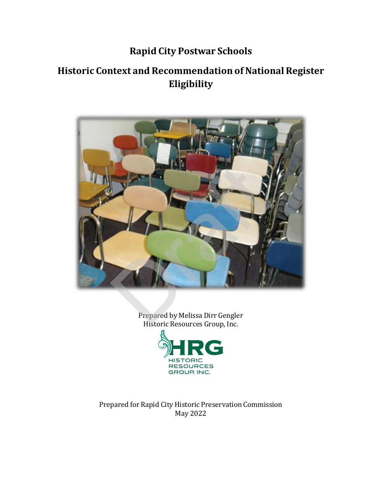## **Rapid City Postwar Schools**

## **Historic Context and Recommendation of NationalRegister Eligibility**



Prepared by Melissa Dirr Gengler Historic Resources Group, Inc.



Prepared for Rapid City Historic Preservation Commission May 2022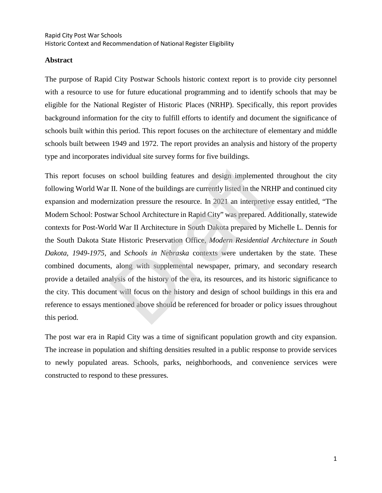## **Abstract**

The purpose of Rapid City Postwar Schools historic context report is to provide city personnel with a resource to use for future educational programming and to identify schools that may be eligible for the National Register of Historic Places (NRHP). Specifically, this report provides background information for the city to fulfill efforts to identify and document the significance of schools built within this period. This report focuses on the architecture of elementary and middle schools built between 1949 and 1972. The report provides an analysis and history of the property type and incorporates individual site survey forms for five buildings.

This report focuses on school building features and design implemented throughout the city following World War II. None of the buildings are currently listed in the NRHP and continued city expansion and modernization pressure the resource. In 2021 an interpretive essay entitled, "The Modern School: Postwar School Architecture in Rapid City" was prepared. Additionally, statewide contexts for Post-World War II Architecture in South Dakota prepared by Michelle L. Dennis for the South Dakota State Historic Preservation Office, *Modern Residential Architecture in South Dakota, 1949-1975,* and *Schools in Nebraska* contexts were undertaken by the state. These combined documents, along with supplemental newspaper, primary, and secondary research provide a detailed analysis of the history of the era, its resources, and its historic significance to the city. This document will focus on the history and design of school buildings in this era and reference to essays mentioned above should be referenced for broader or policy issues throughout this period. on school building features and design implemented<br>II. None of the buildings are currently listed in the NRH<br>nization pressure the resource. In 2021 an interpretive<br>var School Architecture in Rapid City" was prepared. At<br>d

The post war era in Rapid City was a time of significant population growth and city expansion. The increase in population and shifting densities resulted in a public response to provide services to newly populated areas. Schools, parks, neighborhoods, and convenience services were constructed to respond to these pressures.